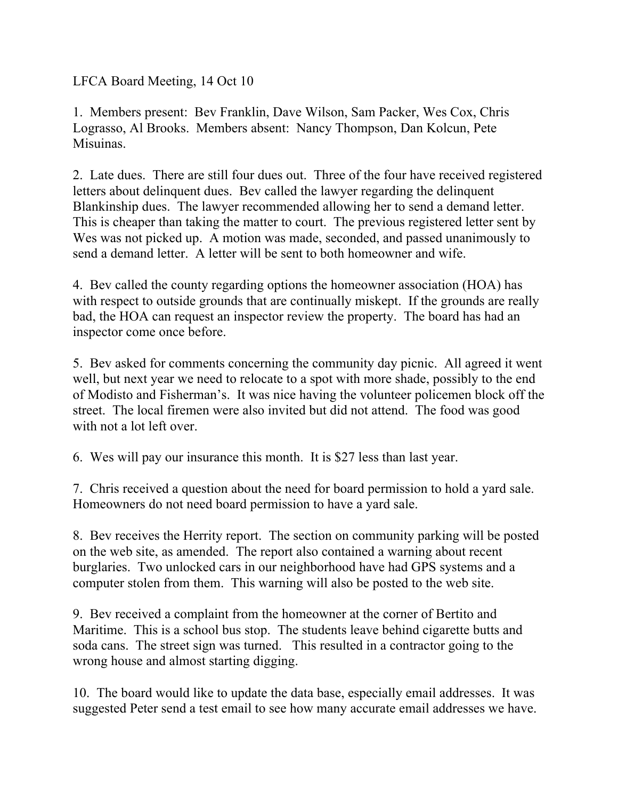LFCA Board Meeting, 14 Oct 10

1. Members present: Bev Franklin, Dave Wilson, Sam Packer, Wes Cox, Chris Lograsso, Al Brooks. Members absent: Nancy Thompson, Dan Kolcun, Pete Misuinas.

2. Late dues. There are still four dues out. Three of the four have received registered letters about delinquent dues. Bev called the lawyer regarding the delinquent Blankinship dues. The lawyer recommended allowing her to send a demand letter. This is cheaper than taking the matter to court. The previous registered letter sent by Wes was not picked up. A motion was made, seconded, and passed unanimously to send a demand letter. A letter will be sent to both homeowner and wife.

4. Bev called the county regarding options the homeowner association (HOA) has with respect to outside grounds that are continually miskept. If the grounds are really bad, the HOA can request an inspector review the property. The board has had an inspector come once before.

5. Bev asked for comments concerning the community day picnic. All agreed it went well, but next year we need to relocate to a spot with more shade, possibly to the end of Modisto and Fisherman's. It was nice having the volunteer policemen block off the street. The local firemen were also invited but did not attend. The food was good with not a lot left over.

6. Wes will pay our insurance this month. It is \$27 less than last year.

7. Chris received a question about the need for board permission to hold a yard sale. Homeowners do not need board permission to have a yard sale.

8. Bev receives the Herrity report. The section on community parking will be posted on the web site, as amended. The report also contained a warning about recent burglaries. Two unlocked cars in our neighborhood have had GPS systems and a computer stolen from them. This warning will also be posted to the web site.

9. Bev received a complaint from the homeowner at the corner of Bertito and Maritime. This is a school bus stop. The students leave behind cigarette butts and soda cans. The street sign was turned. This resulted in a contractor going to the wrong house and almost starting digging.

10. The board would like to update the data base, especially email addresses. It was suggested Peter send a test email to see how many accurate email addresses we have.